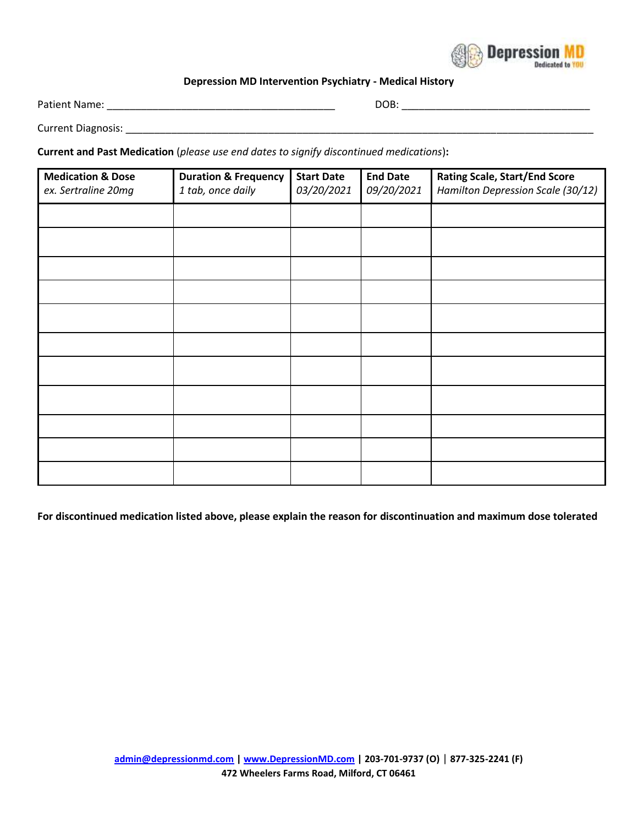

## **Depression MD Intervention Psychiatry - Medical History**

Patient Name: \_\_\_\_\_\_\_\_\_\_\_\_\_\_\_\_\_\_\_\_\_\_\_\_\_\_\_\_\_\_\_\_\_\_\_\_\_\_\_\_ DOB: \_\_\_\_\_\_\_\_\_\_\_\_\_\_\_\_\_\_\_\_\_\_\_\_\_\_\_\_\_\_\_\_\_

Current Diagnosis: \_\_\_\_\_\_\_\_\_\_\_\_\_\_\_\_\_\_\_\_\_\_\_\_\_\_\_\_\_\_\_\_\_\_\_\_\_\_\_\_\_\_\_\_\_\_\_\_\_\_\_\_\_\_\_\_\_\_\_\_\_\_\_\_\_\_\_\_\_\_\_\_\_\_\_\_\_\_\_\_\_\_

**Current and Past Medication** (*please use end dates to signify discontinued medications*)**:** 

| <b>Medication &amp; Dose</b><br>ex. Sertraline 20mg | <b>Duration &amp; Frequency</b><br>1 tab, once daily | <b>Start Date</b><br>03/20/2021 | <b>End Date</b><br>09/20/2021 | <b>Rating Scale, Start/End Score</b><br>Hamilton Depression Scale (30/12) |
|-----------------------------------------------------|------------------------------------------------------|---------------------------------|-------------------------------|---------------------------------------------------------------------------|
|                                                     |                                                      |                                 |                               |                                                                           |
|                                                     |                                                      |                                 |                               |                                                                           |
|                                                     |                                                      |                                 |                               |                                                                           |
|                                                     |                                                      |                                 |                               |                                                                           |
|                                                     |                                                      |                                 |                               |                                                                           |
|                                                     |                                                      |                                 |                               |                                                                           |
|                                                     |                                                      |                                 |                               |                                                                           |
|                                                     |                                                      |                                 |                               |                                                                           |
|                                                     |                                                      |                                 |                               |                                                                           |
|                                                     |                                                      |                                 |                               |                                                                           |
|                                                     |                                                      |                                 |                               |                                                                           |

**For discontinued medication listed above, please explain the reason for discontinuation and maximum dose tolerated**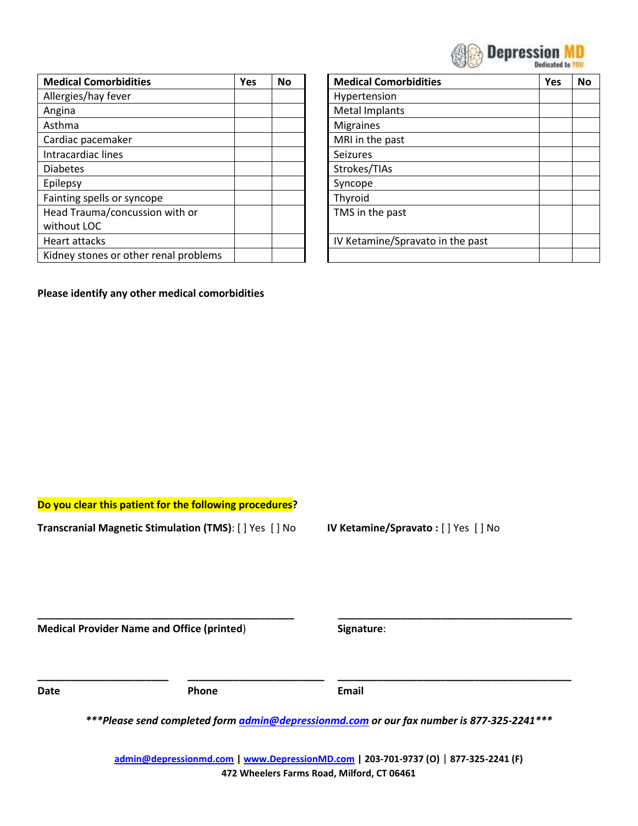| <b>SEP Depression</b> |
|-----------------------|
| Dedicated to          |

| <b>Medical Comorbidities</b>          | Yes | <b>No</b> | <b>Medical Comorbidities</b>     | Yes |
|---------------------------------------|-----|-----------|----------------------------------|-----|
| Allergies/hay fever                   |     |           | Hypertension                     |     |
| Angina                                |     |           | <b>Metal Implants</b>            |     |
| Asthma                                |     |           | <b>Migraines</b>                 |     |
| Cardiac pacemaker                     |     |           | MRI in the past                  |     |
| Intracardiac lines                    |     |           | <b>Seizures</b>                  |     |
| <b>Diabetes</b>                       |     |           | Strokes/TIAs                     |     |
| Epilepsy                              |     |           | Syncope                          |     |
| Fainting spells or syncope            |     |           | Thyroid                          |     |
| Head Trauma/concussion with or        |     |           | TMS in the past                  |     |
| without LOC                           |     |           |                                  |     |
| Heart attacks                         |     |           | IV Ketamine/Spravato in the past |     |
| Kidney stones or other renal problems |     |           |                                  |     |

| <b>Medical Comorbidities</b>     | Yes | No |
|----------------------------------|-----|----|
| Hypertension                     |     |    |
| <b>Metal Implants</b>            |     |    |
| <b>Migraines</b>                 |     |    |
| MRI in the past                  |     |    |
| <b>Seizures</b>                  |     |    |
| Strokes/TIAs                     |     |    |
| Syncope                          |     |    |
| Thyroid                          |     |    |
| TMS in the past                  |     |    |
|                                  |     |    |
| IV Ketamine/Spravato in the past |     |    |
|                                  |     |    |

## **Please identify any other medical comorbidities**

**Do you clear this patient for the following procedures?**

**Transcranial Magnetic Stimulation (TMS)**: [ ] Yes [ ] No **IV Ketamine/Spravato :** [ ] Yes [ ] No

**Medical Provider Name and Office (printed**) **Signature**:

**Date Phone Email**

*\*\*\*Please send completed form [admin@depressionmd.com](mailto:admin@depressionmd.com) or our fax number is 877-325-2241\*\*\**

**\_\_\_\_\_\_\_\_\_\_\_\_\_\_\_\_\_\_\_\_\_\_\_\_\_\_\_\_\_\_\_\_\_\_\_\_\_\_\_\_\_\_\_\_\_ \_\_\_\_\_\_\_\_\_\_\_\_\_\_\_\_\_\_\_\_\_\_\_\_\_\_\_\_\_\_\_\_\_\_\_\_\_\_\_\_\_**

**\_\_\_\_\_\_\_\_\_\_\_\_\_\_\_\_\_\_\_\_\_\_\_ \_\_\_\_\_\_\_\_\_\_\_\_\_\_\_\_\_\_\_\_\_\_\_\_ \_\_\_\_\_\_\_\_\_\_\_\_\_\_\_\_\_\_\_\_\_\_\_\_\_\_\_\_\_\_\_\_\_\_\_\_\_\_\_\_\_**

**[admin@depressionmd.com](mailto:admin@depressionmd.com) | [www.DepressionMD.com](http://www.depressionmd.com/) | 203-701-9737 (O)** | **877-325-2241 (F) 472 Wheelers Farms Road, Milford, CT 06461**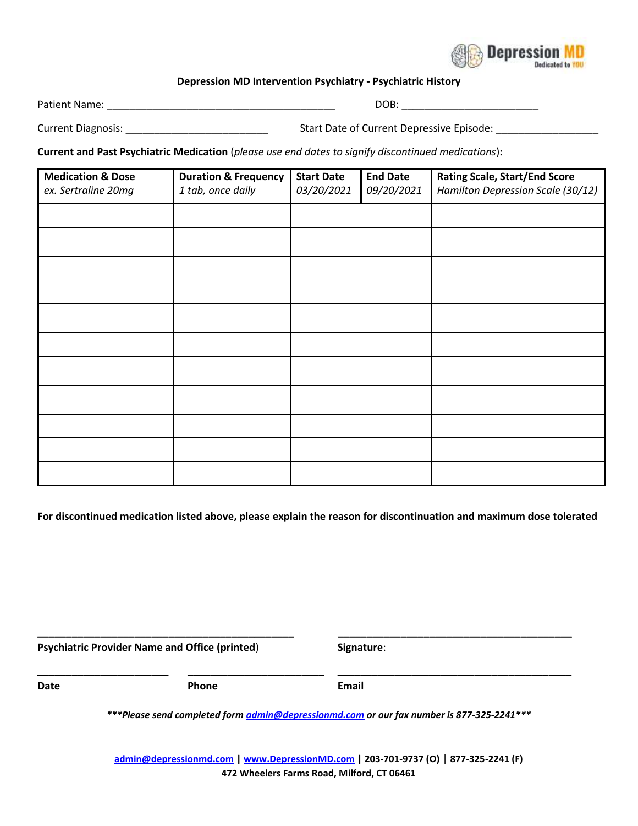

## **Depression MD Intervention Psychiatry - Psychiatric History**

Patient Name: \_\_\_\_\_\_\_\_\_\_\_\_\_\_\_\_\_\_\_\_\_\_\_\_\_\_\_\_\_\_\_\_\_\_\_\_\_\_\_\_ DOB: \_\_\_\_\_\_\_\_\_\_\_\_\_\_\_\_\_\_\_\_\_\_\_\_

Current Diagnosis: \_\_\_\_\_\_\_\_\_\_\_\_\_\_\_\_\_\_\_\_\_\_\_\_\_ Start Date of Current Depressive Episode: \_\_\_\_\_\_\_\_\_\_\_\_\_\_\_\_\_\_

**Current and Past Psychiatric Medication** (*please use end dates to signify discontinued medications*)**:** 

| <b>Medication &amp; Dose</b><br>ex. Sertraline 20mg | <b>Duration &amp; Frequency</b><br>1 tab, once daily | <b>Start Date</b><br>03/20/2021 | <b>End Date</b><br>09/20/2021 | <b>Rating Scale, Start/End Score</b><br>Hamilton Depression Scale (30/12) |
|-----------------------------------------------------|------------------------------------------------------|---------------------------------|-------------------------------|---------------------------------------------------------------------------|
|                                                     |                                                      |                                 |                               |                                                                           |
|                                                     |                                                      |                                 |                               |                                                                           |
|                                                     |                                                      |                                 |                               |                                                                           |
|                                                     |                                                      |                                 |                               |                                                                           |
|                                                     |                                                      |                                 |                               |                                                                           |
|                                                     |                                                      |                                 |                               |                                                                           |
|                                                     |                                                      |                                 |                               |                                                                           |
|                                                     |                                                      |                                 |                               |                                                                           |
|                                                     |                                                      |                                 |                               |                                                                           |
|                                                     |                                                      |                                 |                               |                                                                           |
|                                                     |                                                      |                                 |                               |                                                                           |
|                                                     |                                                      |                                 |                               |                                                                           |

**For discontinued medication listed above, please explain the reason for discontinuation and maximum dose tolerated**

**Psychiatric Provider Name and Office (printed**) **Signature**:

**Date Contract Email Phone Contract Property Email** 

*\*\*\*Please send completed form [admin@depressionmd.com](mailto:admin@depressionmd.com) or our fax number is 877-325-2241\*\*\**

**\_\_\_\_\_\_\_\_\_\_\_\_\_\_\_\_\_\_\_\_\_\_\_\_\_\_\_\_\_\_\_\_\_\_\_\_\_\_\_\_\_\_\_\_\_ \_\_\_\_\_\_\_\_\_\_\_\_\_\_\_\_\_\_\_\_\_\_\_\_\_\_\_\_\_\_\_\_\_\_\_\_\_\_\_\_\_**

**\_\_\_\_\_\_\_\_\_\_\_\_\_\_\_\_\_\_\_\_\_\_\_ \_\_\_\_\_\_\_\_\_\_\_\_\_\_\_\_\_\_\_\_\_\_\_\_ \_\_\_\_\_\_\_\_\_\_\_\_\_\_\_\_\_\_\_\_\_\_\_\_\_\_\_\_\_\_\_\_\_\_\_\_\_\_\_\_\_**

**[admin@depressionmd.com](mailto:admin@depressionmd.com) | [www.DepressionMD.com](http://www.depressionmd.com/) | 203-701-9737 (O)** | **877-325-2241 (F) 472 Wheelers Farms Road, Milford, CT 06461**